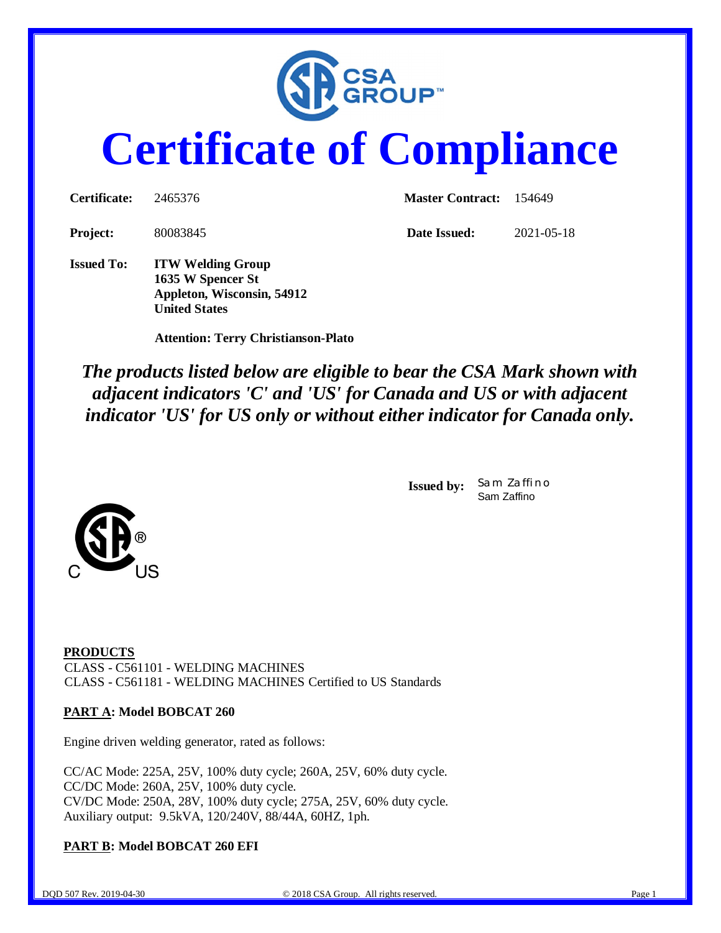

# **Certificate of Compliance**

| <b>Certificate:</b> | 2465376                                                                     | <b>Master Contract:</b> 154649 |            |  |
|---------------------|-----------------------------------------------------------------------------|--------------------------------|------------|--|
| <b>Project:</b>     | 80083845                                                                    | Date Issued:                   | 2021-05-18 |  |
| <b>Issued To:</b>   | <b>ITW Welding Group</b><br>1635 W Spencer St<br>Appleton, Wisconsin, 54912 |                                |            |  |

 **Attention: Terry Christianson-Plato**

**United States**

*The products listed below are eligible to bear the CSA Mark shown with adjacent indicators 'C' and 'US' for Canada and US or with adjacent indicator 'US' for US only or without either indicator for Canada only.*

> **Issued by:** *Sam Zaffino* Sam Zaffino



**PRODUCTS** CLASS - C561101 - WELDING MACHINES CLASS - C561181 - WELDING MACHINES Certified to US Standards

#### **PART A: Model BOBCAT 260**

Engine driven welding generator, rated as follows:

CC/AC Mode: 225A, 25V, 100% duty cycle; 260A, 25V, 60% duty cycle. CC/DC Mode: 260A, 25V, 100% duty cycle. CV/DC Mode: 250A, 28V, 100% duty cycle; 275A, 25V, 60% duty cycle. Auxiliary output: 9.5kVA, 120/240V, 88/44A, 60HZ, 1ph.

**PART B: Model BOBCAT 260 EFI**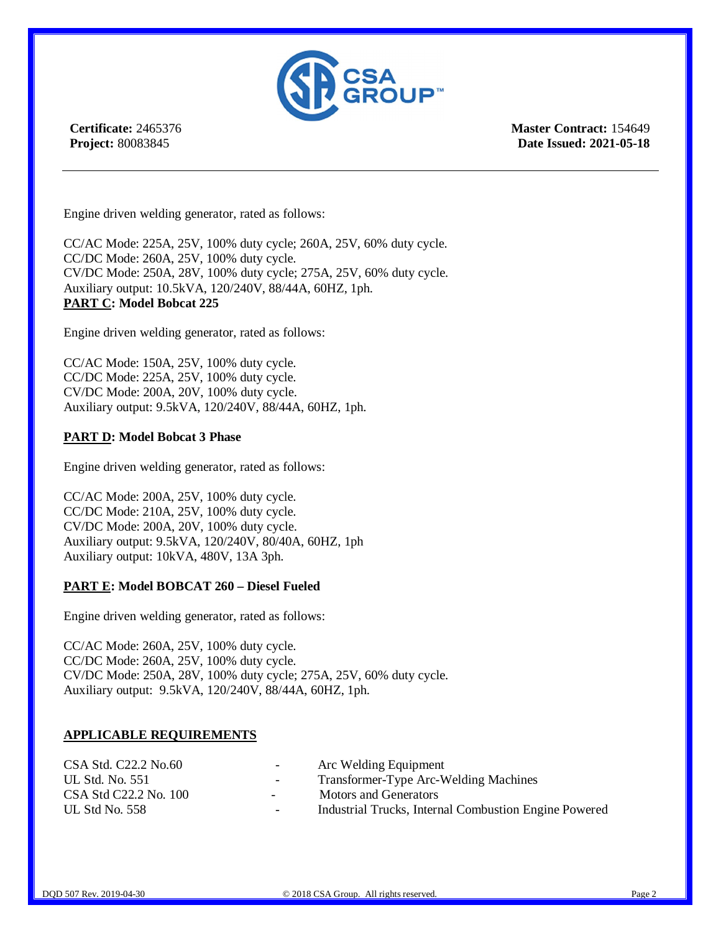

**Certificate:** 2465376 **Project:** 80083845

**Master Contract:** 154649 **Date Issued: 2021-05-18**

Engine driven welding generator, rated as follows:

CC/AC Mode: 225A, 25V, 100% duty cycle; 260A, 25V, 60% duty cycle. CC/DC Mode: 260A, 25V, 100% duty cycle. CV/DC Mode: 250A, 28V, 100% duty cycle; 275A, 25V, 60% duty cycle. Auxiliary output: 10.5kVA, 120/240V, 88/44A, 60HZ, 1ph. **PART C: Model Bobcat 225**

Engine driven welding generator, rated as follows:

CC/AC Mode: 150A, 25V, 100% duty cycle. CC/DC Mode: 225A, 25V, 100% duty cycle. CV/DC Mode: 200A, 20V, 100% duty cycle. Auxiliary output: 9.5kVA, 120/240V, 88/44A, 60HZ, 1ph.

#### **PART D: Model Bobcat 3 Phase**

Engine driven welding generator, rated as follows:

CC/AC Mode: 200A, 25V, 100% duty cycle. CC/DC Mode: 210A, 25V, 100% duty cycle. CV/DC Mode: 200A, 20V, 100% duty cycle. Auxiliary output: 9.5kVA, 120/240V, 80/40A, 60HZ, 1ph Auxiliary output: 10kVA, 480V, 13A 3ph.

#### **PART E: Model BOBCAT 260 – Diesel Fueled**

Engine driven welding generator, rated as follows:

CC/AC Mode: 260A, 25V, 100% duty cycle. CC/DC Mode: 260A, 25V, 100% duty cycle. CV/DC Mode: 250A, 28V, 100% duty cycle; 275A, 25V, 60% duty cycle. Auxiliary output: 9.5kVA, 120/240V, 88/44A, 60HZ, 1ph.

#### **APPLICABLE REQUIREMENTS**

| $\sim$        | Arc Welding Equipment                                 |
|---------------|-------------------------------------------------------|
| $\sim$        | Transformer-Type Arc-Welding Machines                 |
| $\sim$        | <b>Motors and Generators</b>                          |
| $\sim$ $\sim$ | Industrial Trucks, Internal Combustion Engine Powered |
|               |                                                       |